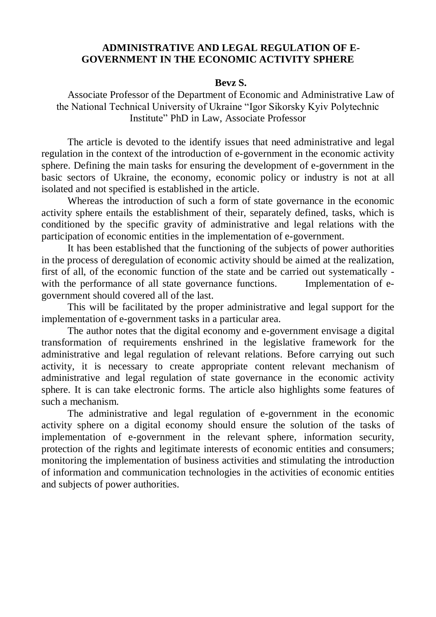## **ADMINISTRATIVE AND LEGAL REGULATION OF E-GOVERNMENT IN THE ECONOMIC ACTIVITY SPHERE**

## **Bevz S.**

Associate Professor of the Department of Economic and Administrative Law of the National Technical University of Ukraine "Igor Sikorsky Kyiv Polytechnic Institute" PhD in Law, Associate Professor

The article is devoted to the identify issues that need administrative and legal regulation in the context of the introduction of e-government in the economic activity sphere. Defining the main tasks for ensuring the development of e-government in the basic sectors of Ukraine, the economy, economic policy or industry is not at all isolated and not specified is established in the article.

Whereas the introduction of such a form of state governance in the economic activity sphere entails the establishment of their, separately defined, tasks, which is conditioned by the specific gravity of administrative and legal relations with the participation of economic entities in the implementation of e-government.

It has been established that the functioning of the subjects of power authorities in the process of deregulation of economic activity should be aimed at the realization, first of all, of the economic function of the state and be carried out systematically with the performance of all state governance functions. Implementation of egovernment should covered all of the last.

This will be facilitated by the proper administrative and legal support for the implementation of e-government tasks in a particular area.

The author notes that the digital economy and e-government envisage a digital transformation of requirements enshrined in the legislative framework for the administrative and legal regulation of relevant relations. Before carrying out such activity, it is necessary to create appropriate content relevant mechanism of administrative and legal regulation of state governance in the economic activity sphere. It is can take electronic forms. The article also highlights some features of such a mechanism.

The administrative and legal regulation of e-government in the economic activity sphere on a digital economy should ensure the solution of the tasks of implementation of e-government in the relevant sphere, information security, protection of the rights and legitimate interests of economic entities and consumers; monitoring the implementation of business activities and stimulating the introduction of information and communication technologies in the activities of economic entities and subjects of power authorities.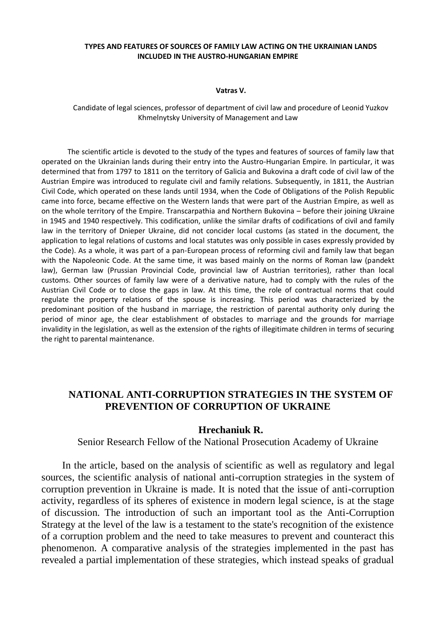#### **TYPES AND FEATURES OF SOURCES OF FAMILY LAW ACTING ON THE UKRAINIAN LANDS INCLUDED IN THE AUSTRO-HUNGARIAN EMPIRE**

#### **Vatras V.**

Candidate of legal sciences, professor of department of civil law and procedure of Leonid Yuzkov Khmelnytsky University of Management and Law

The scientific article is devoted to the study of the types and features of sources of family law that operated on the Ukrainian lands during their entry into the Austro-Hungarian Empire. In particular, it was determined that from 1797 to 1811 on the territory of Galicia and Bukovina a draft code of civil law of the Austrian Empire was introduced to regulate civil and family relations. Subsequently, in 1811, the Austrian Civil Code, which operated on these lands until 1934, when the Code of Obligations of the Polish Republic came into force, became effective on the Western lands that were part of the Austrian Empire, as well as on the whole territory of the Empire. Transcarpathia and Northern Bukovina – before their joining Ukraine in 1945 and 1940 respectively. This codification, unlike the similar drafts of codifications of civil and family law in the territory of Dnieper Ukraine, did not concider local customs (as stated in the document, the application to legal relations of customs and local statutes was only possible in cases expressly provided by the Code). As a whole, it was part of a pan-European process of reforming civil and family law that began with the Napoleonic Code. At the same time, it was based mainly on the norms of Roman law (pandekt law), German law (Prussian Provincial Code, provincial law of Austrian territories), rather than local customs. Other sources of family law were of a derivative nature, had to comply with the rules of the Austrian Civil Code or to close the gaps in law. At this time, the role of contractual norms that could regulate the property relations of the spouse is increasing. This period was characterized by the predominant position of the husband in marriage, the restriction of parental authority only during the period of minor age, the clear establishment of obstacles to marriage and the grounds for marriage invalidity in the legislation, as well as the extension of the rights of illegitimate children in terms of securing the right to parental maintenance.

## **NATIONAL ANTI-CORRUPTION STRATEGIES IN THE SYSTEM OF PREVENTION OF CORRUPTION OF UKRAINE**

### **Hrechaniuk R.**

Senior Research Fellow of the National Prosecution Academy of Ukraine

In the article, based on the analysis of scientific as well as regulatory and legal sources, the scientific analysis of national anti-corruption strategies in the system of corruption prevention in Ukraine is made. It is noted that the issue of anti-corruption activity, regardless of its spheres of existence in modern legal science, is at the stage of discussion. The introduction of such an important tool as the Anti-Corruption Strategy at the level of the law is a testament to the state's recognition of the existence of a corruption problem and the need to take measures to prevent and counteract this phenomenon. A comparative analysis of the strategies implemented in the past has revealed a partial implementation of these strategies, which instead speaks of gradual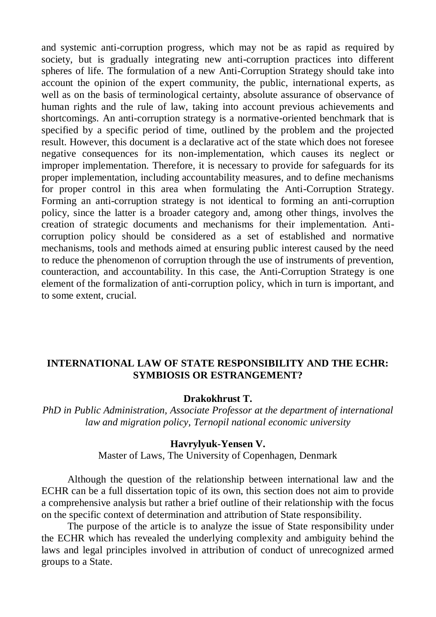and systemic anti-corruption progress, which may not be as rapid as required by society, but is gradually integrating new anti-corruption practices into different spheres of life. The formulation of a new Anti-Corruption Strategy should take into account the opinion of the expert community, the public, international experts, as well as on the basis of terminological certainty, absolute assurance of observance of human rights and the rule of law, taking into account previous achievements and shortcomings. An anti-corruption strategy is a normative-oriented benchmark that is specified by a specific period of time, outlined by the problem and the projected result. However, this document is a declarative act of the state which does not foresee negative consequences for its non-implementation, which causes its neglect or improper implementation. Therefore, it is necessary to provide for safeguards for its proper implementation, including accountability measures, and to define mechanisms for proper control in this area when formulating the Anti-Corruption Strategy. Forming an anti-corruption strategy is not identical to forming an anti-corruption policy, since the latter is a broader category and, among other things, involves the creation of strategic documents and mechanisms for their implementation. Anticorruption policy should be considered as a set of established and normative mechanisms, tools and methods aimed at ensuring public interest caused by the need to reduce the phenomenon of corruption through the use of instruments of prevention, counteraction, and accountability. In this case, the Anti-Corruption Strategy is one element of the formalization of anti-corruption policy, which in turn is important, and to some extent, crucial.

# **INTERNATIONAL LAW OF STATE RESPONSIBILITY AND THE ECHR: SYMBIOSIS OR ESTRANGEMENT?**

## **Drakokhrust T.**

*PhD in Public Administration, Associate Professor at the department of international law and migration policy, Ternopil national economic university*

## **Havrylyuk-Yensen V.**

Master of Laws, The University of Copenhagen, Denmark

Although the question of the relationship between international law and the ECHR can be a full dissertation topic of its own, this section does not aim to provide a comprehensive analysis but rather a brief outline of their relationship with the focus on the specific context of determination and attribution of State responsibility.

The purpose of the article is to analyze the issue of State responsibility under the ECHR which has revealed the underlying complexity and ambiguity behind the laws and legal principles involved in attribution of conduct of unrecognized armed groups to a State.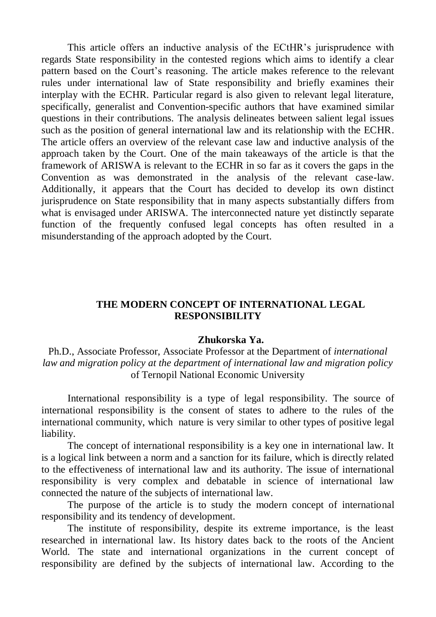This article offers an inductive analysis of the ECtHR's jurisprudence with regards State responsibility in the contested regions which aims to identify a clear pattern based on the Court's reasoning. The article makes reference to the relevant rules under international law of State responsibility and briefly examines their interplay with the ECHR. Particular regard is also given to relevant legal literature, specifically, generalist and Convention-specific authors that have examined similar questions in their contributions. The analysis delineates between salient legal issues such as the position of general international law and its relationship with the ECHR. The article offers an overview of the relevant case law and inductive analysis of the approach taken by the Court. One of the main takeaways of the article is that the framework of ARISWA is relevant to the ECHR in so far as it covers the gaps in the Convention as was demonstrated in the analysis of the relevant case-law. Additionally, it appears that the Court has decided to develop its own distinct jurisprudence on State responsibility that in many aspects substantially differs from what is envisaged under ARISWA. The interconnected nature yet distinctly separate function of the frequently confused legal concepts has often resulted in a misunderstanding of the approach adopted by the Court.

## **THE MODERN CONCEPT OF INTERNATIONAL LEGAL RESPONSIBILITY**

### **Zhukorska Ya.**

Ph.D., Associate Professor, Associate Professor at the Department of *international law and migration policy at the department of international law and migration policy*  of Ternopil National Economic University

International responsibility is a type of legal responsibility. The source of international responsibility is the consent of states to adhere to the rules of the international community, which nature is very similar to other types of positive legal liability.

The concept of international responsibility is a key one in international law. It is a logical link between a norm and a sanction for its failure, which is directly related to the effectiveness of international law and its authority. The issue of international responsibility is very complex and debatable in science of international law connected the nature of the subjects of international law.

The purpose of the article is to study the modern concept of international responsibility and its tendency of development.

The institute of responsibility, despite its extreme importance, is the least researched in international law. Its history dates back to the roots of the Ancient World. The state and international organizations in the current concept of responsibility are defined by the subjects of international law. According to the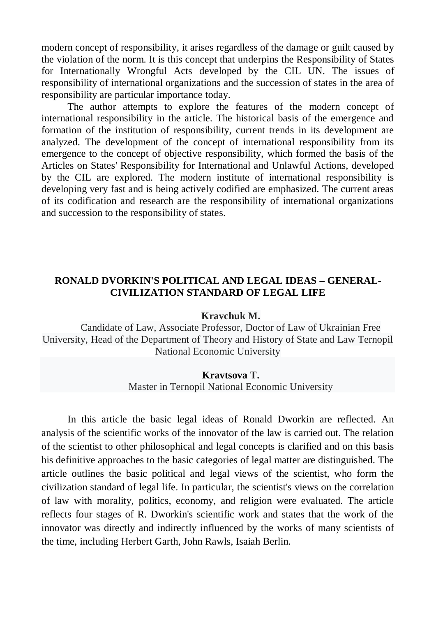modern concept of responsibility, it arises regardless of the damage or guilt caused by the violation of the norm. It is this concept that underpins the Responsibility of States for Internationally Wrongful Acts developed by the CIL UN. The issues of responsibility of international organizations and the succession of states in the area of responsibility are particular importance today.

The author attempts to explore the features of the modern concept of international responsibility in the article. The historical basis of the emergence and formation of the institution of responsibility, current trends in its development are analyzed. The development of the concept of international responsibility from its emergence to the concept of objective responsibility, which formed the basis of the Articles on States' Responsibility for International and Unlawful Actions, developed by the CIL are explored. The modern institute of international responsibility is developing very fast and is being actively codified are emphasized. The current areas of its codification and research are the responsibility of international organizations and succession to the responsibility of states.

## **RONALD DVORKIN'S POLITICAL AND LEGAL IDEAS – GENERAL-CIVILIZATION STANDARD OF LEGAL LIFE**

### **Kravchuk M.**

Candidate of Law, Associate Professor, Doctor of Law of Ukrainian Free University, Head of the Department of Theory and History of State and Law Ternopil National Economic University

### **Kravtsova Т.**

Master in Ternopil National Economic University

In this article the basic legal ideas of Ronald Dworkin are reflected. An analysis of the scientific works of the innovator of the law is carried out. The relation of the scientist to other philosophical and legal concepts is clarified and on this basis his definitive approaches to the basic categories of legal matter are distinguished. The article outlines the basic political and legal views of the scientist, who form the civilization standard of legal life. In particular, the scientist's views on the correlation of law with morality, politics, economy, and religion were evaluated. The article reflects four stages of R. Dworkin's scientific work and states that the work of the innovator was directly and indirectly influenced by the works of many scientists of the time, including Herbert Garth, John Rawls, Isaiah Berlin.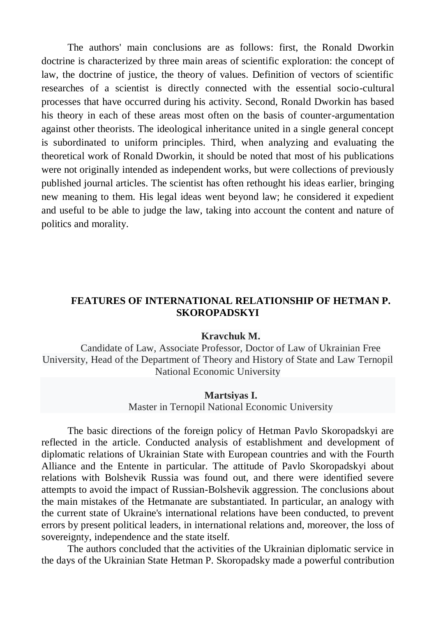The authors' main conclusions are as follows: first, the Ronald Dworkin doctrine is characterized by three main areas of scientific exploration: the concept of law, the doctrine of justice, the theory of values. Definition of vectors of scientific researches of a scientist is directly connected with the essential socio-cultural processes that have occurred during his activity. Second, Ronald Dworkin has based his theory in each of these areas most often on the basis of counter-argumentation against other theorists. The ideological inheritance united in a single general concept is subordinated to uniform principles. Third, when analyzing and evaluating the theoretical work of Ronald Dworkin, it should be noted that most of his publications were not originally intended as independent works, but were collections of previously published journal articles. The scientist has often rethought his ideas earlier, bringing new meaning to them. His legal ideas went beyond law; he considered it expedient and useful to be able to judge the law, taking into account the content and nature of politics and morality.

## **FEATURES OF INTERNATIONAL RELATIONSHIP OF HETMAN P. SKOROPADSKYI**

### **Kravchuk M.**

Candidate of Law, Associate Professor, Doctor of Law of Ukrainian Free University, Head of the Department of Theory and History of State and Law Ternopil National Economic University

### **Martsiyas I.**

Master in Ternopil National Economic University

The basic directions of the foreign policy of Hetman Pavlo Skoropadskyi are reflected in the article. Conducted analysis of establishment and development of diplomatic relations of Ukrainian State with European countries and with the Fourth Alliance and the Entente in particular. The attitude of Pavlo Skoropadskyi about relations with Bolshevik Russia was found out, and there were identified severe attempts to avoid the impact of Russian-Bolshevik aggression. The conclusions about the main mistakes of the Hetmanate are substantiated. In particular, an analogy with the current state of Ukraine's international relations have been conducted, to prevent errors by present political leaders, in international relations and, moreover, the loss of sovereignty, independence and the state itself.

The authors concluded that the activities of the Ukrainian diplomatic service in the days of the Ukrainian State Hetman P. Skoropadsky made a powerful contribution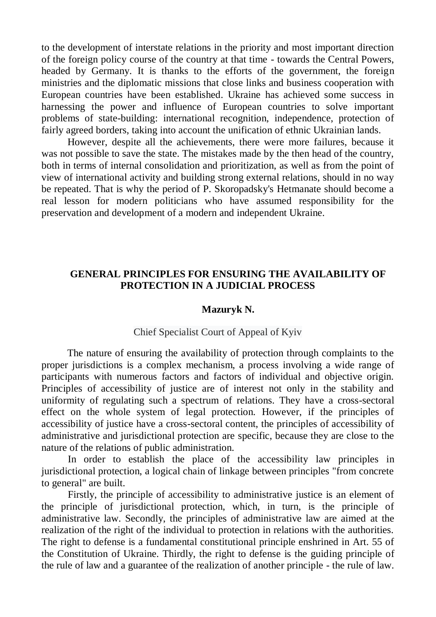to the development of interstate relations in the priority and most important direction of the foreign policy course of the country at that time - towards the Central Powers, headed by Germany. It is thanks to the efforts of the government, the foreign ministries and the diplomatic missions that close links and business cooperation with European countries have been established. Ukraine has achieved some success in harnessing the power and influence of European countries to solve important problems of state-building: international recognition, independence, protection of fairly agreed borders, taking into account the unification of ethnic Ukrainian lands.

However, despite all the achievements, there were more failures, because it was not possible to save the state. The mistakes made by the then head of the country, both in terms of internal consolidation and prioritization, as well as from the point of view of international activity and building strong external relations, should in no way be repeated. That is why the period of P. Skoropadsky's Hetmanate should become a real lesson for modern politicians who have assumed responsibility for the preservation and development of a modern and independent Ukraine.

## **GENERAL PRINCIPLES FOR ENSURING THE AVAILABILITY OF PROTECTION IN A JUDICIAL PROCESS**

### **Mazuryk N.**

#### Chief Specialist Court of Appeal of Kyiv

The nature of ensuring the availability of protection through complaints to the proper jurisdictions is a complex mechanism, a process involving a wide range of participants with numerous factors and factors of individual and objective origin. Principles of accessibility of justice are of interest not only in the stability and uniformity of regulating such a spectrum of relations. They have a cross-sectoral effect on the whole system of legal protection. However, if the principles of accessibility of justice have a cross-sectoral content, the principles of accessibility of administrative and jurisdictional protection are specific, because they are close to the nature of the relations of public administration.

In order to establish the place of the accessibility law principles in jurisdictional protection, a logical chain of linkage between principles "from concrete to general" are built.

Firstly, the principle of accessibility to administrative justice is an element of the principle of jurisdictional protection, which, in turn, is the principle of administrative law. Secondly, the principles of administrative law are aimed at the realization of the right of the individual to protection in relations with the authorities. The right to defense is a fundamental constitutional principle enshrined in Art. 55 of the Constitution of Ukraine. Thirdly, the right to defense is the guiding principle of the rule of law and a guarantee of the realization of another principle - the rule of law.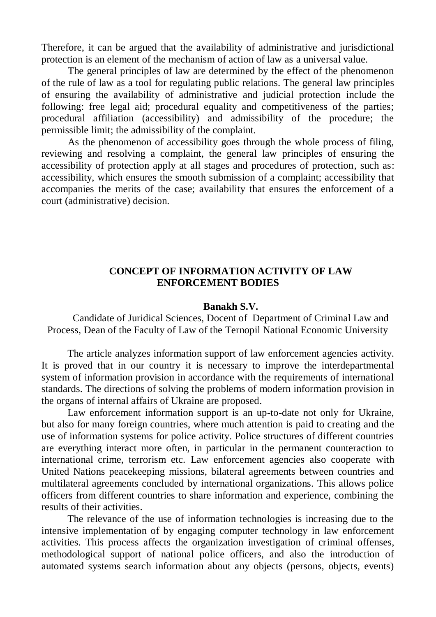Therefore, it can be argued that the availability of administrative and jurisdictional protection is an element of the mechanism of action of law as a universal value.

The general principles of law are determined by the effect of the phenomenon of the rule of law as a tool for regulating public relations. The general law principles of ensuring the availability of administrative and judicial protection include the following: free legal aid; procedural equality and competitiveness of the parties; procedural affiliation (accessibility) and admissibility of the procedure; the permissible limit; the admissibility of the complaint.

As the phenomenon of accessibility goes through the whole process of filing, reviewing and resolving a complaint, the general law principles of ensuring the accessibility of protection apply at all stages and procedures of protection, such as: accessibility, which ensures the smooth submission of a complaint; accessibility that accompanies the merits of the case; availability that ensures the enforcement of a court (administrative) decision.

## **CONCEPT OF INFORMATION ACTIVITY OF LAW ENFORCEMENT BODIES**

### **Banakh S.V.**

Candidate of Juridical Sciences, Docent of Department of Criminal Law and Process, Dean of the Faculty of Law of the Ternopil National Economic University

The article analyzes information support of law enforcement agencies activity. It is proved that in our country it is necessary to improve the interdepartmental system of information provision in accordance with the requirements of international standards. The directions of solving the problems of modern information provision in the organs of internal affairs of Ukraine are proposed.

Law enforcement information support is an up-to-date not only for Ukraine, but also for many foreign countries, where much attention is paid to creating and the use of information systems for police activity. Police structures of different countries are everything interact more often, in particular in the permanent counteraction to international crime, terrorism etc. Law enforcement agencies also cooperate with United Nations peacekeeping missions, bilateral agreements between countries and multilateral agreements concluded by international organizations. This allows police officers from different countries to share information and experience, combining the results of their activities.

The relevance of the use of information technologies is increasing due to the intensive implementation of by engaging computer technology in law enforcement activities. This process affects the organization investigation of criminal offenses, methodological support of national police officers, and also the introduction of automated systems search information about any objects (persons, objects, events)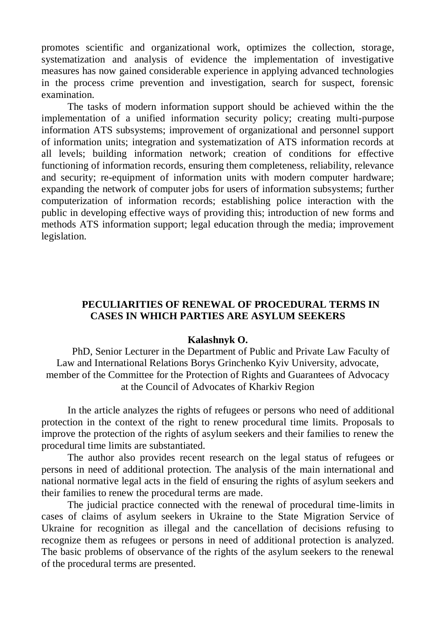promotes scientific and organizational work, optimizes the collection, storage, systematization and analysis of evidence the implementation of investigative measures has now gained considerable experience in applying advanced technologies in the process crime prevention and investigation, search for suspect, forensic examination.

The tasks of modern information support should be achieved within the the implementation of a unified information security policy; creating multi-purpose information ATS subsystems; improvement of organizational and personnel support of information units; integration and systematization of ATS information records at all levels; building information network; creation of conditions for effective functioning of information records, ensuring them completeness, reliability, relevance and security; re-equipment of information units with modern computer hardware; expanding the network of computer jobs for users of information subsystems; further computerization of information records; establishing police interaction with the public in developing effective ways of providing this; introduction of new forms and methods ATS information support; legal education through the media; improvement legislation.

# **PECULIARITIES OF RENEWAL OF PROCEDURAL TERMS IN CASES IN WHICH PARTIES ARE ASYLUM SEEKERS**

### **Kalashnyk O.**

PhD, Senior Lecturer in the Department of Public and Private Law Faculty of Law and International Relations Borys Grinchenko Kyiv University, advocate, member of the Committee for the Protection of Rights and Guarantees of Advocacy at the Council of Advocates of Kharkiv Region

In the article analyzes the rights of refugees or persons who need of additional protection in the context of the right to renew procedural time limits. Proposals to improve the protection of the rights of asylum seekers and their families to renew the procedural time limits are substantiated.

The author also provides recent research on the legal status of refugees or persons in need of additional protection. The analysis of the main international and national normative legal acts in the field of ensuring the rights of asylum seekers and their families to renew the procedural terms are made.

The judicial practice connected with the renewal of procedural time-limits in cases of claims of asylum seekers in Ukraine to the State Migration Service of Ukraine for recognition as illegal and the cancellation of decisions refusing to recognize them as refugees or persons in need of additional protection is analyzed. The basic problems of observance of the rights of the asylum seekers to the renewal of the procedural terms are presented.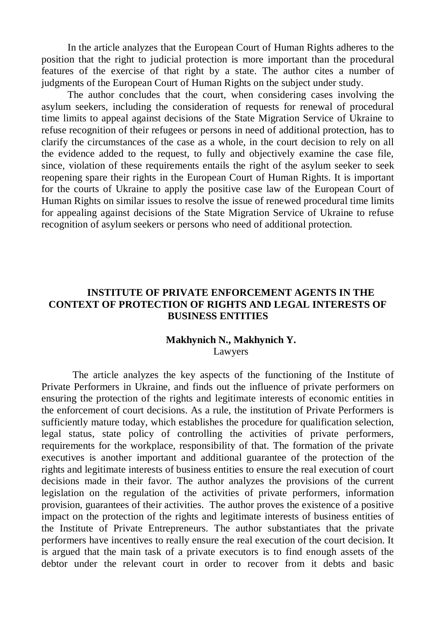In the article analyzes that the European Court of Human Rights adheres to the position that the right to judicial protection is more important than the procedural features of the exercise of that right by a state. The author cites a number of judgments of the European Court of Human Rights on the subject under study.

The author concludes that the court, when considering cases involving the asylum seekers, including the consideration of requests for renewal of procedural time limits to appeal against decisions of the State Migration Service of Ukraine to refuse recognition of their refugees or persons in need of additional protection, has to clarify the circumstances of the case as a whole, in the court decision to rely on all the evidence added to the request, to fully and objectively examine the case file, since, violation of these requirements entails the right of the asylum seeker to seek reopening spare their rights in the European Court of Human Rights. It is important for the courts of Ukraine to apply the positive case law of the European Court of Human Rights on similar issues to resolve the issue of renewed procedural time limits for appealing against decisions of the State Migration Service of Ukraine to refuse recognition of asylum seekers or persons who need of additional protection.

## **INSTITUTE OF PRIVATE ENFORCEMENT AGENTS IN THE CONTEXT OF PROTECTION OF RIGHTS AND LEGAL INTERESTS OF BUSINESS ENTITIES**

### **Makhynich N., Makhynich Y.** Lawyers

The article analyzes the key aspects of the functioning of the Institute of Private Performers in Ukraine, and finds out the influence of private performers on ensuring the protection of the rights and legitimate interests of economic entities in the enforcement of court decisions. As a rule, the institution of Private Performers is sufficiently mature today, which establishes the procedure for qualification selection, legal status, state policy of controlling the activities of private performers, requirements for the workplace, responsibility of that. The formation of the private executives is another important and additional guarantee of the protection of the rights and legitimate interests of business entities to ensure the real execution of court decisions made in their favor. The author analyzes the provisions of the current legislation on the regulation of the activities of private performers, information provision, guarantees of their activities. The author proves the existence of a positive impact on the protection of the rights and legitimate interests of business entities of the Institute of Private Entrepreneurs. The author substantiates that the private performers have incentives to really ensure the real execution of the court decision. It is argued that the main task of a private executors is to find enough assets of the debtor under the relevant court in order to recover from it debts and basic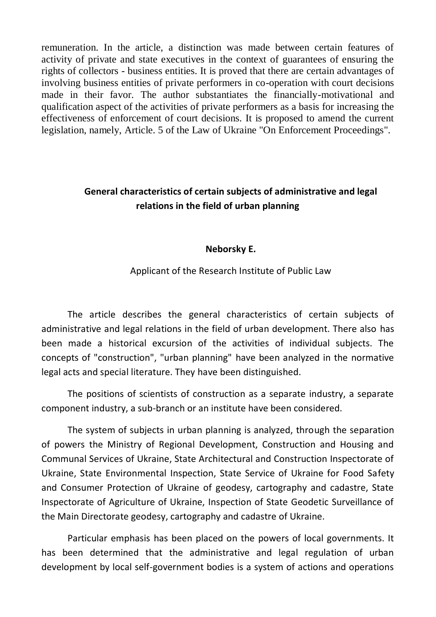remuneration. In the article, a distinction was made between certain features of activity of private and state executives in the context of guarantees of ensuring the rights of collectors - business entities. It is proved that there are certain advantages of involving business entities of private performers in co-operation with court decisions made in their favor. The author substantiates the financially-motivational and qualification aspect of the activities of private performers as a basis for increasing the effectiveness of enforcement of court decisions. It is proposed to amend the current legislation, namely, Article. 5 of the Law of Ukraine "On Enforcement Proceedings".

# **General characteristics of certain subjects of administrative and legal relations in the field of urban planning**

## **Neborsky E.**

## Applicant of the Research Institute of Public Law

The article describes the general characteristics of certain subjects of administrative and legal relations in the field of urban development. There also has been made a historical excursion of the activities of individual subjects. The concepts of "construction", "urban planning" have been analyzed in the normative legal acts and special literature. They have been distinguished.

The positions of scientists of construction as a separate industry, a separate component industry, a sub-branch or an institute have been considered.

The system of subjects in urban planning is analyzed, through the separation of powers the Ministry of Regional Development, Construction and Housing and Communal Services of Ukraine, State Architectural and Construction Inspectorate of Ukraine, State Environmental Inspection, State Service of Ukraine for Food Safety and Consumer Protection of Ukraine of geodesy, cartography and cadastre, State Inspectorate of Agriculture of Ukraine, Inspection of State Geodetic Surveillance of the Main Directorate geodesy, cartography and cadastre of Ukraine.

Particular emphasis has been placed on the powers of local governments. It has been determined that the administrative and legal regulation of urban development by local self-government bodies is a system of actions and operations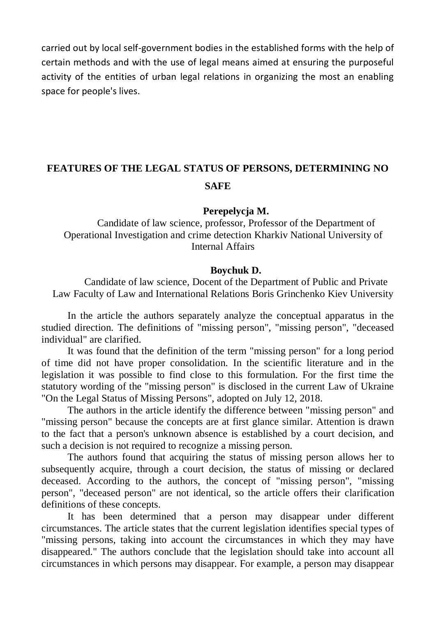carried out by local self-government bodies in the established forms with the help of certain methods and with the use of legal means aimed at ensuring the purposeful activity of the entities of urban legal relations in organizing the most an enabling space for people's lives.

# **FEATURES OF THE LEGAL STATUS OF PERSONS, DETERMINING NO SAFE**

### **Perepelycja M.**

Candidate of law science, professor, Professor of the Department of Operational Investigation and crime detection Kharkiv National University of Internal Affairs

### **Boychuk D.**

Candidate of law science, Docent of the Department of Public and Private Law Faculty of Law and International Relations Boris Grinchenko Kiev University

In the article the authors separately analyze the conceptual apparatus in the studied direction. The definitions of "missing person", "missing person", "deceased individual" are clarified.

It was found that the definition of the term "missing person" for a long period of time did not have proper consolidation. In the scientific literature and in the legislation it was possible to find close to this formulation. For the first time the statutory wording of the "missing person" is disclosed in the current Law of Ukraine "On the Legal Status of Missing Persons", adopted on July 12, 2018.

The authors in the article identify the difference between "missing person" and "missing person" because the concepts are at first glance similar. Attention is drawn to the fact that a person's unknown absence is established by a court decision, and such a decision is not required to recognize a missing person.

The authors found that acquiring the status of missing person allows her to subsequently acquire, through a court decision, the status of missing or declared deceased. According to the authors, the concept of "missing person", "missing person", "deceased person" are not identical, so the article offers their clarification definitions of these concepts.

It has been determined that a person may disappear under different circumstances. The article states that the current legislation identifies special types of "missing persons, taking into account the circumstances in which they may have disappeared." The authors conclude that the legislation should take into account all circumstances in which persons may disappear. For example, a person may disappear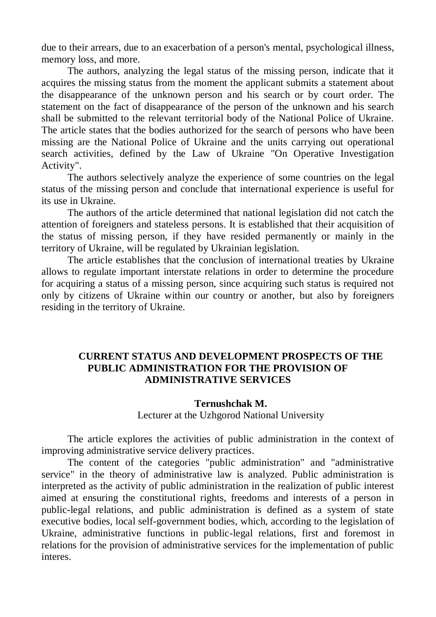due to their arrears, due to an exacerbation of a person's mental, psychological illness, memory loss, and more.

The authors, analyzing the legal status of the missing person, indicate that it acquires the missing status from the moment the applicant submits a statement about the disappearance of the unknown person and his search or by court order. The statement on the fact of disappearance of the person of the unknown and his search shall be submitted to the relevant territorial body of the National Police of Ukraine. The article states that the bodies authorized for the search of persons who have been missing are the National Police of Ukraine and the units carrying out operational search activities, defined by the Law of Ukraine "On Operative Investigation Activity".

The authors selectively analyze the experience of some countries on the legal status of the missing person and conclude that international experience is useful for its use in Ukraine.

The authors of the article determined that national legislation did not catch the attention of foreigners and stateless persons. It is established that their acquisition of the status of missing person, if they have resided permanently or mainly in the territory of Ukraine, will be regulated by Ukrainian legislation.

The article establishes that the conclusion of international treaties by Ukraine allows to regulate important interstate relations in order to determine the procedure for acquiring a status of a missing person, since acquiring such status is required not only by citizens of Ukraine within our country or another, but also by foreigners residing in the territory of Ukraine.

# **CURRENT STATUS AND DEVELOPMENT PROSPECTS OF THE PUBLIC ADMINISTRATION FOR THE PROVISION OF ADMINISTRATIVE SERVICES**

## **Ternushchak M.**

Lecturer at the Uzhgorod National University

The article explores the activities of public administration in the context of improving administrative service delivery practices.

The content of the categories "public administration" and "administrative service" in the theory of administrative law is analyzed. Public administration is interpreted as the activity of public administration in the realization of public interest aimed at ensuring the constitutional rights, freedoms and interests of a person in public-legal relations, and public administration is defined as a system of state executive bodies, local self-government bodies, which, according to the legislation of Ukraine, administrative functions in public-legal relations, first and foremost in relations for the provision of administrative services for the implementation of public interes.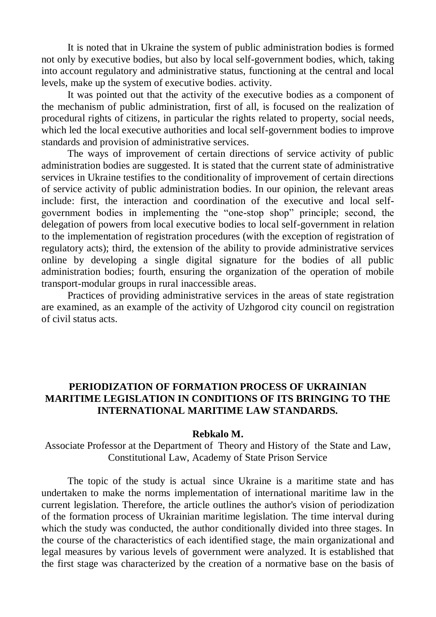It is noted that in Ukraine the system of public administration bodies is formed not only by executive bodies, but also by local self-government bodies, which, taking into account regulatory and administrative status, functioning at the central and local levels, make up the system of executive bodies. activity.

It was pointed out that the activity of the executive bodies as a component of the mechanism of public administration, first of all, is focused on the realization of procedural rights of citizens, in particular the rights related to property, social needs, which led the local executive authorities and local self-government bodies to improve standards and provision of administrative services.

The ways of improvement of certain directions of service activity of public administration bodies are suggested. It is stated that the current state of administrative services in Ukraine testifies to the conditionality of improvement of certain directions of service activity of public administration bodies. In our opinion, the relevant areas include: first, the interaction and coordination of the executive and local selfgovernment bodies in implementing the "one-stop shop" principle; second, the delegation of powers from local executive bodies to local self-government in relation to the implementation of registration procedures (with the exception of registration of regulatory acts); third, the extension of the ability to provide administrative services online by developing a single digital signature for the bodies of all public administration bodies; fourth, ensuring the organization of the operation of mobile transport-modular groups in rural inaccessible areas.

Practices of providing administrative services in the areas of state registration are examined, as an example of the activity of Uzhgorod city council on registration of civil status acts.

## **PERIODIZATION OF FORMATION PROCESS OF UKRAINIAN MARITIME LEGISLATION IN CONDITIONS OF ITS BRINGING TO THE INTERNATIONAL MARITIME LAW STANDARDS.**

### **Rebkalo M.**

Associate Professor at the Department of Theory and History of the State and Law, Constitutional Law, Academy of State Prison Service

The topic of the study is actual since Ukraine is a maritime state and has undertaken to make the norms implementation of international maritime law in the current legislation. Therefore, the article outlines the author's vision of periodization of the formation process of Ukrainian maritime legislation. The time interval during which the study was conducted, the author conditionally divided into three stages. In the course of the characteristics of each identified stage, the main organizational and legal measures by various levels of government were analyzed. It is established that the first stage was characterized by the creation of a normative base on the basis of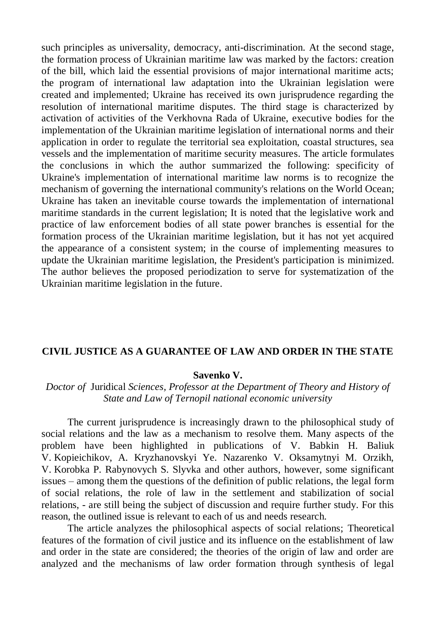such principles as universality, democracy, anti-discrimination. At the second stage, the formation process of Ukrainian maritime law was marked by the factors: creation of the bill, which laid the essential provisions of major international maritime acts; the program of international law adaptation into the Ukrainian legislation were created and implemented; Ukraine has received its own jurisprudence regarding the resolution of international maritime disputes. The third stage is characterized by activation of activities of the Verkhovna Rada of Ukraine, executive bodies for the implementation of the Ukrainian maritime legislation of international norms and their application in order to regulate the territorial sea exploitation, coastal structures, sea vessels and the implementation of maritime security measures. The article formulates the conclusions in which the author summarized the following: specificity of Ukraine's implementation of international maritime law norms is to recognize the mechanism of governing the international community's relations on the World Ocean; Ukraine has taken an inevitable course towards the implementation of international maritime standards in the current legislation; It is noted that the legislative work and practice of law enforcement bodies of all state power branches is essential for the formation process of the Ukrainian maritime legislation, but it has not yet acquired the appearance of a consistent system; in the course of implementing measures to update the Ukrainian maritime legislation, the President's participation is minimized. The author believes the proposed periodization to serve for systematization of the Ukrainian maritime legislation in the future.

## **CIVIL JUSTICE AS A GUARANTEE OF LAW AND ORDER IN THE STATE**

### **Savenko V.**

## *Doctor of* Juridical *Sciences, Professor at the Department of Theory and History of State and Law of Ternopil national economic university*

The current jurisprudence is increasingly drawn to the philosophical study of social relations and the law as a mechanism to resolve them. Many aspects of the problem have been highlighted in publications of V. Babkin H. Baliuk V. Kopieichikov, A. Kryzhanovskyi Ye. Nazarenko V. Oksamytnyi M. Orzikh, V. Korobka P. Rabynovych S. Slyvka and other authors, however, some significant issues – among them the questions of the definition of public relations, the legal form of social relations, the role of law in the settlement and stabilization of social relations, - are still being the subject of discussion and require further study. For this reason, the outlined issue is relevant to each of us and needs research.

The article analyzes the philosophical aspects of social relations; Theoretical features of the formation of civil justice and its influence on the establishment of law and order in the state are considered; the theories of the origin of law and order are analyzed and the mechanisms of law order formation through synthesis of legal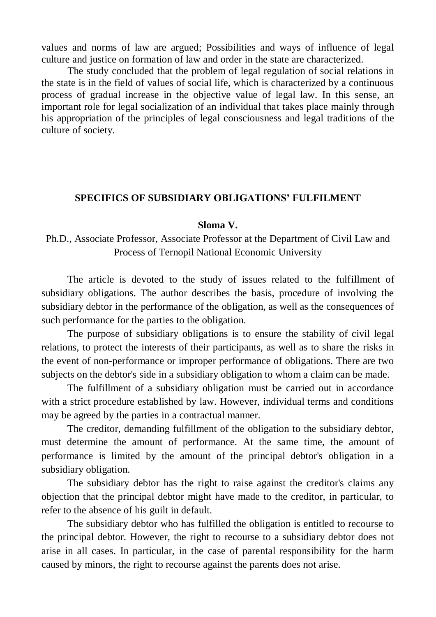values and norms of law are argued; Possibilities and ways of influence of legal culture and justice on formation of law and order in the state are characterized.

The study concluded that the problem of legal regulation of social relations in the state is in the field of values of social life, which is characterized by a continuous process of gradual increase in the objective value of legal law. In this sense, an important role for legal socialization of an individual that takes place mainly through his appropriation of the principles of legal consciousness and legal traditions of the culture of society.

## **SPECIFICS OF SUBSIDIARY OBLIGATIONS' FULFILMENT**

### **Sloma V.**

# Ph.D., Associate Professor, Associate Professor at the Department of Civil Law and Process of Ternopil National Economic University

The article is devoted to the study of issues related to the fulfillment of subsidiary obligations. The author describes the basis, procedure of involving the subsidiary debtor in the performance of the obligation, as well as the consequences of such performance for the parties to the obligation.

The purpose of subsidiary obligations is to ensure the stability of civil legal relations, to protect the interests of their participants, as well as to share the risks in the event of non-performance or improper performance of obligations. There are two subjects on the debtor's side in a subsidiary obligation to whom a claim can be made.

The fulfillment of a subsidiary obligation must be carried out in accordance with a strict procedure established by law. However, individual terms and conditions may be agreed by the parties in a contractual manner.

The creditor, demanding fulfillment of the obligation to the subsidiary debtor, must determine the amount of performance. At the same time, the amount of performance is limited by the amount of the principal debtor's obligation in a subsidiary obligation.

The subsidiary debtor has the right to raise against the creditor's claims any objection that the principal debtor might have made to the creditor, in particular, to refer to the absence of his guilt in default.

The subsidiary debtor who has fulfilled the obligation is entitled to recourse to the principal debtor. However, the right to recourse to a subsidiary debtor does not arise in all cases. In particular, in the case of parental responsibility for the harm caused by minors, the right to recourse against the parents does not arise.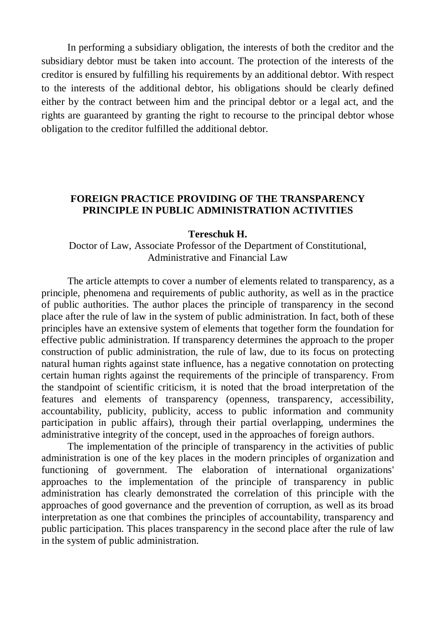In performing a subsidiary obligation, the interests of both the creditor and the subsidiary debtor must be taken into account. The protection of the interests of the creditor is ensured by fulfilling his requirements by an additional debtor. With respect to the interests of the additional debtor, his obligations should be clearly defined either by the contract between him and the principal debtor or a legal act, and the rights are guaranteed by granting the right to recourse to the principal debtor whose obligation to the creditor fulfilled the additional debtor.

## **FOREIGN PRACTICE PROVIDING OF THE TRANSPARENCY PRINCIPLE IN PUBLIC ADMINISTRATION ACTIVITIES**

### **Tereschuk H.**

Doctor of Law, Associate Professor of the Department of Constitutional, Administrative and Financial Law

The article attempts to cover a number of elements related to transparency, as a principle, phenomena and requirements of public authority, as well as in the practice of public authorities. The author places the principle of transparency in the second place after the rule of law in the system of public administration. In fact, both of these principles have an extensive system of elements that together form the foundation for effective public administration. If transparency determines the approach to the proper construction of public administration, the rule of law, due to its focus on protecting natural human rights against state influence, has a negative connotation on protecting certain human rights against the requirements of the principle of transparency. From the standpoint of scientific criticism, it is noted that the broad interpretation of the features and elements of transparency (openness, transparency, accessibility, accountability, publicity, publicity, access to public information and community participation in public affairs), through their partial overlapping, undermines the administrative integrity of the concept, used in the approaches of foreign authors.

The implementation of the principle of transparency in the activities of public administration is one of the key places in the modern principles of organization and functioning of government. The elaboration of international organizations' approaches to the implementation of the principle of transparency in public administration has clearly demonstrated the correlation of this principle with the approaches of good governance and the prevention of corruption, as well as its broad interpretation as one that combines the principles of accountability, transparency and public participation. This places transparency in the second place after the rule of law in the system of public administration.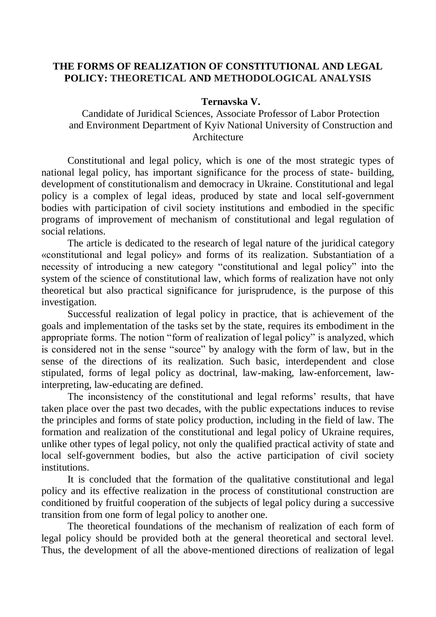## **THE FORMS OF REALIZATION OF CONSTITUTIONAL AND LEGAL POLICY: THEORETICAL AND METHODOLOGICAL ANALYSIS**

## **Ternavska V.**

Candidate of Juridical Sciences, Associate Professor of Labor Protection and Environment Department of Kyiv National University of Construction and Architecture

Constitutional and legal policy, which is one of the most strategic types of national legal policy, has important significance for the process of state- building, development of constitutionalism and democracy in Ukraine. Constitutional and legal policy is a complex of legal ideas, produced by state and local self-government bodies with participation of civil society institutions and embodied in the specific programs of improvement of mechanism of constitutional and legal regulation of social relations.

The article is dedicated to the research of legal nature of the juridical category «constitutional and legal policy» and forms of its realization. Substantiation of a necessity of introducing a new category "constitutional and legal policy" into the system of the science of constitutional law, which forms of realization have not only theoretical but also practical significance for jurisprudence, is the purpose of this investigation.

Successful realization of legal policy in practice, that is achievement of the goals and implementation of the tasks set by the state, requires its embodiment in the appropriate forms. The notion "form of realization of legal policy" is analyzed, which is considered not in the sense "source" by analogy with the form of law, but in the sense of the directions of its realization. Such basic, interdependent and close stipulated, forms of legal policy as doctrinal, law-making, law-enforcement, lawinterpreting, law-educating are defined.

The inconsistency of the constitutional and legal reforms' results, that have taken place over the past two decades, with the public expectations induces to revise the principles and forms of state policy production, including in the field of law. The formation and realization of the constitutional and legal policy of Ukraine requires, unlike other types of legal policy, not only the qualified practical activity of state and local self-government bodies, but also the active participation of civil society institutions.

It is concluded that the formation of the qualitative constitutional and legal policy and its effective realization in the process of constitutional construction are conditioned by fruitful cooperation of the subjects of legal policy during a successive transition from one form of legal policy to another one.

The theoretical foundations of the mechanism of realization of each form of legal policy should be provided both at the general theoretical and sectoral level. Thus, the development of all the above-mentioned directions of realization of legal